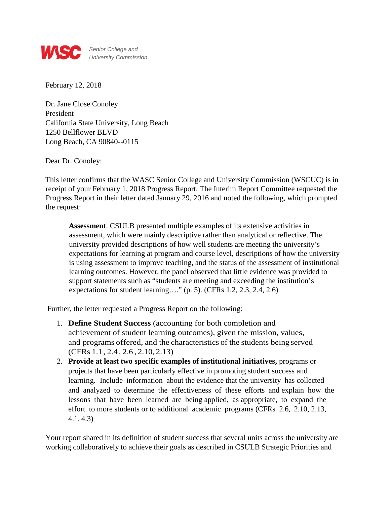

February 12, 2018

Dr. Jane Close Conoley President California State University, Long Beach 1250 Bellflower BLVD Long Beach, CA 90840--0115

Dear Dr. Conoley:

This letter confirms that the WASC Senior College and University Commission (WSCUC) is in receipt of your February 1, 2018 Progress Report. The Interim Report Committee requested the Progress Report in their letter dated January 29, 2016 and noted the following, which prompted the request:

**Assessment**. CSULB presented multiple examples of its extensive activities in assessment, which were mainly descriptive rather than analytical or reflective. The university provided descriptions of how well students are meeting the university's expectations for learning at program and course level, descriptions of how the university is using assessment to improve teaching, and the status of the assessment of institutional learning outcomes. However, the panel observed that little evidence was provided to support statements such as "students are meeting and exceeding the institution's expectations for student learning…." (p. 5). (CFRs 1.2, 2.3, 2.4, 2.6)

Further, the letter requested a Progress Report on the following:

- 1. **Define Student Success** (accounting for both completion and achievement of student learning outcomes), given the mission, values, and programs offered, and the characteristics of the students being served (CFRs 1.1, 2.4 , 2.6 , 2.10, 2.13)
- 2. **Provide at least two specific examples of institutional initiatives,** programs or projects that have been particularly effective in promoting student success and learning. Include information about the evidence that the university has collected and analyzed to determine the effectiveness of these efforts and explain how the lessons that have been learned are being applied, as appropriate, to expand the effort to more students or to additional academic programs (CFRs 2.6, 2.10, 2.13, 4.1, 4.3)

Your report shared in its definition of student success that several units across the university are working collaboratively to achieve their goals as described in CSULB Strategic Priorities and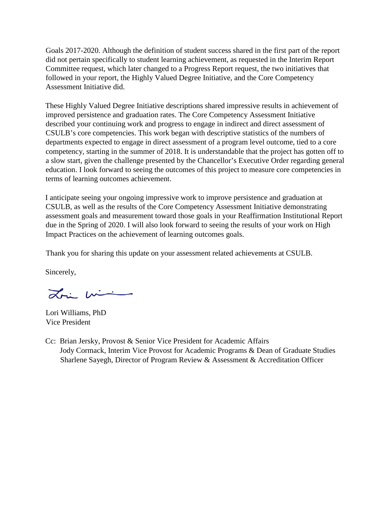Goals 2017-2020. Although the definition of student success shared in the first part of the report did not pertain specifically to student learning achievement, as requested in the Interim Report Committee request, which later changed to a Progress Report request, the two initiatives that followed in your report, the Highly Valued Degree Initiative, and the Core Competency Assessment Initiative did.

These Highly Valued Degree Initiative descriptions shared impressive results in achievement of improved persistence and graduation rates. The Core Competency Assessment Initiative described your continuing work and progress to engage in indirect and direct assessment of CSULB's core competencies. This work began with descriptive statistics of the numbers of departments expected to engage in direct assessment of a program level outcome, tied to a core competency, starting in the summer of 2018. It is understandable that the project has gotten off to a slow start, given the challenge presented by the Chancellor's Executive Order regarding general education. I look forward to seeing the outcomes of this project to measure core competencies in terms of learning outcomes achievement.

I anticipate seeing your ongoing impressive work to improve persistence and graduation at CSULB, as well as the results of the Core Competency Assessment Initiative demonstrating assessment goals and measurement toward those goals in your Reaffirmation Institutional Report due in the Spring of 2020. I will also look forward to seeing the results of your work on High Impact Practices on the achievement of learning outcomes goals.

Thank you for sharing this update on your assessment related achievements at CSULB.

Sincerely,

Loi mi

Lori Williams, PhD Vice President

Cc: Brian Jersky, Provost & Senior Vice President for Academic Affairs Jody Cormack, Interim Vice Provost for Academic Programs & Dean of Graduate Studies Sharlene Sayegh, Director of Program Review & Assessment & Accreditation Officer